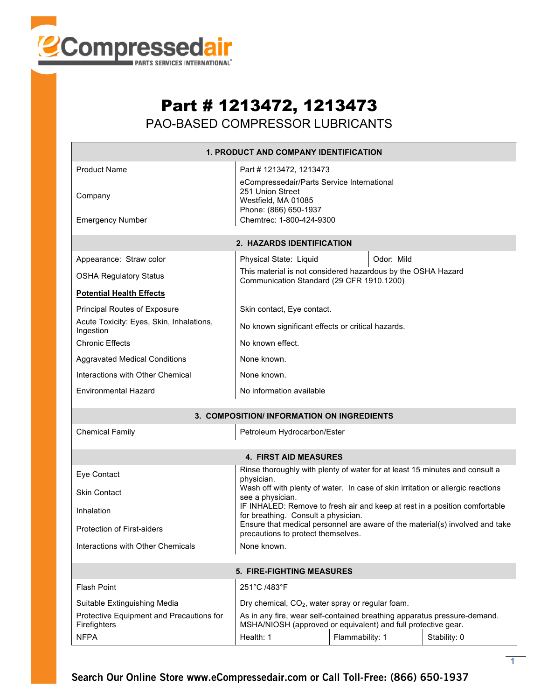

## Part # 1213472, 1213473 PAO-BASED COMPRESSOR LUBRICANTS

| <b>1. PRODUCT AND COMPANY IDENTIFICATION</b>             |                                                                                                                                           |  |            |  |  |  |  |
|----------------------------------------------------------|-------------------------------------------------------------------------------------------------------------------------------------------|--|------------|--|--|--|--|
| <b>Product Name</b><br>Company                           | Part # 1213472, 1213473<br>eCompressedair/Parts Service International<br>251 Union Street<br>Westfield, MA 01085                          |  |            |  |  |  |  |
| <b>Emergency Number</b>                                  | Phone: (866) 650-1937<br>Chemtrec: 1-800-424-9300                                                                                         |  |            |  |  |  |  |
| 2. HAZARDS IDENTIFICATION                                |                                                                                                                                           |  |            |  |  |  |  |
| Appearance: Straw color                                  | Physical State: Liquid                                                                                                                    |  | Odor: Mild |  |  |  |  |
| <b>OSHA Regulatory Status</b>                            | This material is not considered hazardous by the OSHA Hazard<br>Communication Standard (29 CFR 1910.1200)                                 |  |            |  |  |  |  |
| <b>Potential Health Effects</b>                          |                                                                                                                                           |  |            |  |  |  |  |
| Principal Routes of Exposure                             | Skin contact, Eye contact.                                                                                                                |  |            |  |  |  |  |
| Acute Toxicity: Eyes, Skin, Inhalations,<br>Ingestion    | No known significant effects or critical hazards.                                                                                         |  |            |  |  |  |  |
| <b>Chronic Effects</b>                                   | No known effect.                                                                                                                          |  |            |  |  |  |  |
| <b>Aggravated Medical Conditions</b>                     | None known.                                                                                                                               |  |            |  |  |  |  |
| Interactions with Other Chemical                         | None known.                                                                                                                               |  |            |  |  |  |  |
| <b>Environmental Hazard</b>                              | No information available                                                                                                                  |  |            |  |  |  |  |
| 3. COMPOSITION/INFORMATION ON INGREDIENTS                |                                                                                                                                           |  |            |  |  |  |  |
| <b>Chemical Family</b><br>Petroleum Hydrocarbon/Ester    |                                                                                                                                           |  |            |  |  |  |  |
|                                                          | <b>4. FIRST AID MEASURES</b>                                                                                                              |  |            |  |  |  |  |
| Eye Contact                                              | Rinse thoroughly with plenty of water for at least 15 minutes and consult a<br>physician.                                                 |  |            |  |  |  |  |
| <b>Skin Contact</b>                                      | Wash off with plenty of water. In case of skin irritation or allergic reactions<br>see a physician.                                       |  |            |  |  |  |  |
| Inhalation                                               | IF INHALED: Remove to fresh air and keep at rest in a position comfortable<br>for breathing. Consult a physician.                         |  |            |  |  |  |  |
| <b>Protection of First-aiders</b>                        | Ensure that medical personnel are aware of the material(s) involved and take<br>precautions to protect themselves.                        |  |            |  |  |  |  |
| Interactions with Other Chemicals                        | None known.                                                                                                                               |  |            |  |  |  |  |
| <b>5. FIRE-FIGHTING MEASURES</b>                         |                                                                                                                                           |  |            |  |  |  |  |
| <b>Flash Point</b>                                       | 251°C /483°F                                                                                                                              |  |            |  |  |  |  |
| Suitable Extinguishing Media                             | Dry chemical, CO <sub>2</sub> , water spray or regular foam.                                                                              |  |            |  |  |  |  |
| Protective Equipment and Precautions for<br>Firefighters | As in any fire, wear self-contained breathing apparatus pressure-demand.<br>MSHA/NIOSH (approved or equivalent) and full protective gear. |  |            |  |  |  |  |
| <b>NFPA</b>                                              | Flammability: 1<br>Stability: 0<br>Health: 1                                                                                              |  |            |  |  |  |  |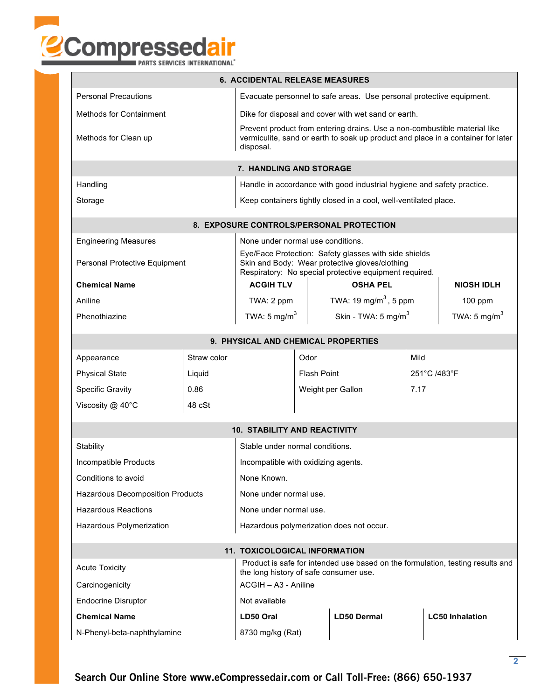

|  | PARTS SERVICES INTERNATIONAL <sup>®</sup> |
|--|-------------------------------------------|
|  |                                           |

| <b>6. ACCIDENTAL RELEASE MEASURES</b>                                                                                                             |                                                                                                                                                                   |                                                                                                                                                                            |                                                                        |                                                                  |                        |                          |  |
|---------------------------------------------------------------------------------------------------------------------------------------------------|-------------------------------------------------------------------------------------------------------------------------------------------------------------------|----------------------------------------------------------------------------------------------------------------------------------------------------------------------------|------------------------------------------------------------------------|------------------------------------------------------------------|------------------------|--------------------------|--|
| <b>Personal Precautions</b>                                                                                                                       | Evacuate personnel to safe areas. Use personal protective equipment.                                                                                              |                                                                                                                                                                            |                                                                        |                                                                  |                        |                          |  |
| <b>Methods for Containment</b>                                                                                                                    | Dike for disposal and cover with wet sand or earth.                                                                                                               |                                                                                                                                                                            |                                                                        |                                                                  |                        |                          |  |
| Methods for Clean up                                                                                                                              |                                                                                                                                                                   | Prevent product from entering drains. Use a non-combustible material like<br>vermiculite, sand or earth to soak up product and place in a container for later<br>disposal. |                                                                        |                                                                  |                        |                          |  |
|                                                                                                                                                   |                                                                                                                                                                   | 7. HANDLING AND STORAGE                                                                                                                                                    |                                                                        |                                                                  |                        |                          |  |
| Handling                                                                                                                                          |                                                                                                                                                                   |                                                                                                                                                                            | Handle in accordance with good industrial hygiene and safety practice. |                                                                  |                        |                          |  |
| Storage                                                                                                                                           |                                                                                                                                                                   |                                                                                                                                                                            |                                                                        | Keep containers tightly closed in a cool, well-ventilated place. |                        |                          |  |
|                                                                                                                                                   |                                                                                                                                                                   |                                                                                                                                                                            |                                                                        | 8. EXPOSURE CONTROLS/PERSONAL PROTECTION                         |                        |                          |  |
| <b>Engineering Measures</b>                                                                                                                       |                                                                                                                                                                   | None under normal use conditions.                                                                                                                                          |                                                                        |                                                                  |                        |                          |  |
| Personal Protective Equipment                                                                                                                     | Eye/Face Protection: Safety glasses with side shields<br>Skin and Body: Wear protective gloves/clothing<br>Respiratory: No special protective equipment required. |                                                                                                                                                                            |                                                                        |                                                                  |                        |                          |  |
| <b>Chemical Name</b>                                                                                                                              |                                                                                                                                                                   | <b>ACGIH TLV</b>                                                                                                                                                           |                                                                        | <b>OSHA PEL</b>                                                  |                        | <b>NIOSH IDLH</b>        |  |
| Aniline                                                                                                                                           | TWA: 2 ppm                                                                                                                                                        |                                                                                                                                                                            |                                                                        | TWA: 19 mg/m <sup>3</sup> , 5 ppm                                |                        | 100 ppm                  |  |
| Phenothiazine                                                                                                                                     |                                                                                                                                                                   |                                                                                                                                                                            |                                                                        | TWA: 5 mg/m <sup>3</sup><br>Skin - TWA: 5 mg/m <sup>3</sup>      |                        | TWA: 5 mg/m <sup>3</sup> |  |
|                                                                                                                                                   |                                                                                                                                                                   | 9. PHYSICAL AND CHEMICAL PROPERTIES                                                                                                                                        |                                                                        |                                                                  |                        |                          |  |
| Appearance                                                                                                                                        | Straw color                                                                                                                                                       |                                                                                                                                                                            | Odor                                                                   |                                                                  |                        | Mild                     |  |
| <b>Physical State</b>                                                                                                                             | Liquid                                                                                                                                                            | <b>Flash Point</b>                                                                                                                                                         |                                                                        |                                                                  |                        | 251°C /483°F             |  |
| <b>Specific Gravity</b>                                                                                                                           | 0.86                                                                                                                                                              |                                                                                                                                                                            |                                                                        | Weight per Gallon<br>7.17                                        |                        |                          |  |
| Viscosity @ 40°C                                                                                                                                  | 48 cSt                                                                                                                                                            |                                                                                                                                                                            |                                                                        |                                                                  |                        |                          |  |
|                                                                                                                                                   |                                                                                                                                                                   | <b>10. STABILITY AND REACTIVITY</b>                                                                                                                                        |                                                                        |                                                                  |                        |                          |  |
| Stability                                                                                                                                         |                                                                                                                                                                   | Stable under normal conditions.                                                                                                                                            |                                                                        |                                                                  |                        |                          |  |
| Incompatible Products                                                                                                                             | Incompatible with oxidizing agents.                                                                                                                               |                                                                                                                                                                            |                                                                        |                                                                  |                        |                          |  |
| Conditions to avoid                                                                                                                               | None Known.                                                                                                                                                       |                                                                                                                                                                            |                                                                        |                                                                  |                        |                          |  |
| Hazardous Decomposition Products                                                                                                                  | None under normal use.                                                                                                                                            |                                                                                                                                                                            |                                                                        |                                                                  |                        |                          |  |
| <b>Hazardous Reactions</b>                                                                                                                        |                                                                                                                                                                   |                                                                                                                                                                            | None under normal use.                                                 |                                                                  |                        |                          |  |
| Hazardous Polymerization                                                                                                                          | Hazardous polymerization does not occur.                                                                                                                          |                                                                                                                                                                            |                                                                        |                                                                  |                        |                          |  |
|                                                                                                                                                   |                                                                                                                                                                   | <b>11. TOXICOLOGICAL INFORMATION</b>                                                                                                                                       |                                                                        |                                                                  |                        |                          |  |
| Product is safe for intended use based on the formulation, testing results and<br><b>Acute Toxicity</b><br>the long history of safe consumer use. |                                                                                                                                                                   |                                                                                                                                                                            |                                                                        |                                                                  |                        |                          |  |
| Carcinogenicity                                                                                                                                   | ACGIH - A3 - Aniline                                                                                                                                              |                                                                                                                                                                            |                                                                        |                                                                  |                        |                          |  |
| <b>Endocrine Disruptor</b>                                                                                                                        | Not available                                                                                                                                                     |                                                                                                                                                                            |                                                                        |                                                                  |                        |                          |  |
| <b>Chemical Name</b>                                                                                                                              | LD50 Oral                                                                                                                                                         |                                                                                                                                                                            | <b>LD50 Dermal</b>                                                     |                                                                  | <b>LC50 Inhalation</b> |                          |  |
| N-Phenyl-beta-naphthylamine                                                                                                                       | 8730 mg/kg (Rat)                                                                                                                                                  |                                                                                                                                                                            |                                                                        |                                                                  |                        |                          |  |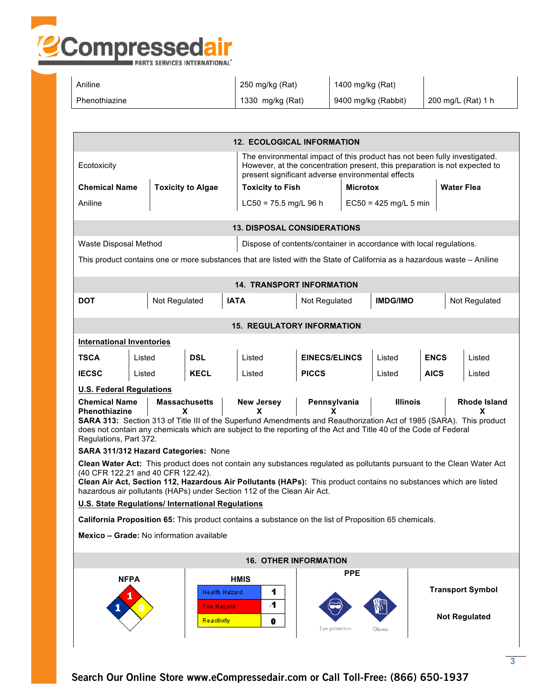

| Aniline       | 250 mg/kg (Rat)  | 1400 mg/kg (Rat)    |                    |
|---------------|------------------|---------------------|--------------------|
| Phenothiazine | 1330 mg/kg (Rat) | 9400 mg/kg (Rabbit) | 200 mg/L (Rat) 1 h |

| <b>12. ECOLOGICAL INFORMATION</b>                                                                                                                                                                                                                                                                                                                                                                                                     |                                      |                                                          |                                                                                                                          |                      |                 |                         |             |                                                 |  |
|---------------------------------------------------------------------------------------------------------------------------------------------------------------------------------------------------------------------------------------------------------------------------------------------------------------------------------------------------------------------------------------------------------------------------------------|--------------------------------------|----------------------------------------------------------|--------------------------------------------------------------------------------------------------------------------------|----------------------|-----------------|-------------------------|-------------|-------------------------------------------------|--|
| The environmental impact of this product has not been fully investigated.<br>However, at the concentration present, this preparation is not expected to<br>Ecotoxicity<br>present significant adverse environmental effects                                                                                                                                                                                                           |                                      |                                                          |                                                                                                                          |                      |                 |                         |             |                                                 |  |
| <b>Chemical Name</b>                                                                                                                                                                                                                                                                                                                                                                                                                  |                                      | <b>Toxicity to Algae</b>                                 | <b>Toxicity to Fish</b>                                                                                                  |                      | <b>Microtox</b> |                         |             | <b>Water Flea</b>                               |  |
| Aniline                                                                                                                                                                                                                                                                                                                                                                                                                               |                                      |                                                          | $LC50 = 75.5$ mg/L 96 h                                                                                                  |                      |                 | $EC50 = 425$ mg/L 5 min |             |                                                 |  |
|                                                                                                                                                                                                                                                                                                                                                                                                                                       |                                      |                                                          | <b>13. DISPOSAL CONSIDERATIONS</b>                                                                                       |                      |                 |                         |             |                                                 |  |
| Waste Disposal Method                                                                                                                                                                                                                                                                                                                                                                                                                 |                                      |                                                          | Dispose of contents/container in accordance with local regulations.                                                      |                      |                 |                         |             |                                                 |  |
|                                                                                                                                                                                                                                                                                                                                                                                                                                       |                                      |                                                          | This product contains one or more substances that are listed with the State of California as a hazardous waste - Aniline |                      |                 |                         |             |                                                 |  |
|                                                                                                                                                                                                                                                                                                                                                                                                                                       |                                      |                                                          | <b>14. TRANSPORT INFORMATION</b>                                                                                         |                      |                 |                         |             |                                                 |  |
| DOT                                                                                                                                                                                                                                                                                                                                                                                                                                   | Not Regulated                        |                                                          | <b>IATA</b>                                                                                                              | Not Regulated        | <b>IMDG/IMO</b> |                         |             | Not Regulated                                   |  |
| <b>15. REGULATORY INFORMATION</b>                                                                                                                                                                                                                                                                                                                                                                                                     |                                      |                                                          |                                                                                                                          |                      |                 |                         |             |                                                 |  |
| <b>International Inventories</b>                                                                                                                                                                                                                                                                                                                                                                                                      |                                      |                                                          |                                                                                                                          |                      |                 |                         |             |                                                 |  |
| <b>TSCA</b>                                                                                                                                                                                                                                                                                                                                                                                                                           | Listed                               | <b>DSL</b>                                               | Listed                                                                                                                   | <b>EINECS/ELINCS</b> |                 | Listed                  | <b>ENCS</b> | Listed                                          |  |
| <b>IECSC</b>                                                                                                                                                                                                                                                                                                                                                                                                                          | Listed                               | <b>KECL</b>                                              | Listed                                                                                                                   | <b>PICCS</b>         |                 | Listed                  | <b>AICS</b> | Listed                                          |  |
| <b>U.S. Federal Regulations</b>                                                                                                                                                                                                                                                                                                                                                                                                       |                                      |                                                          |                                                                                                                          |                      |                 |                         |             |                                                 |  |
| <b>Chemical Name</b><br><b>Massachusetts</b><br>Pennsylvania<br><b>Illinois</b><br><b>Rhode Island</b><br><b>New Jersey</b><br>Phenothiazine<br>x<br>x<br>x<br>x<br>SARA 313: Section 313 of Title III of the Superfund Amendments and Reauthorization Act of 1985 (SARA). This product<br>does not contain any chemicals which are subject to the reporting of the Act and Title 40 of the Code of Federal<br>Regulations, Part 372. |                                      |                                                          |                                                                                                                          |                      |                 |                         |             |                                                 |  |
|                                                                                                                                                                                                                                                                                                                                                                                                                                       | SARA 311/312 Hazard Categories: None |                                                          |                                                                                                                          |                      |                 |                         |             |                                                 |  |
| Clean Water Act: This product does not contain any substances regulated as pollutants pursuant to the Clean Water Act<br>(40 CFR 122.21 and 40 CFR 122.42).<br>Clean Air Act, Section 112, Hazardous Air Pollutants (HAPs): This product contains no substances which are listed<br>hazardous air pollutants (HAPs) under Section 112 of the Clean Air Act.                                                                           |                                      |                                                          |                                                                                                                          |                      |                 |                         |             |                                                 |  |
| U.S. State Regulations/ International Regulations                                                                                                                                                                                                                                                                                                                                                                                     |                                      |                                                          |                                                                                                                          |                      |                 |                         |             |                                                 |  |
| California Proposition 65: This product contains a substance on the list of Proposition 65 chemicals.                                                                                                                                                                                                                                                                                                                                 |                                      |                                                          |                                                                                                                          |                      |                 |                         |             |                                                 |  |
| Mexico - Grade: No information available                                                                                                                                                                                                                                                                                                                                                                                              |                                      |                                                          |                                                                                                                          |                      |                 |                         |             |                                                 |  |
| <b>16. OTHER INFORMATION</b>                                                                                                                                                                                                                                                                                                                                                                                                          |                                      |                                                          |                                                                                                                          |                      |                 |                         |             |                                                 |  |
|                                                                                                                                                                                                                                                                                                                                                                                                                                       | <b>NFPA</b>                          | Health Hazard<br><b>Fire Hazard</b><br><b>Reactivity</b> | <b>HMIS</b><br>1<br>4<br>0                                                                                               | Eye protection       | <b>PPE</b>      | Gloves                  |             | <b>Transport Symbol</b><br><b>Not Regulated</b> |  |